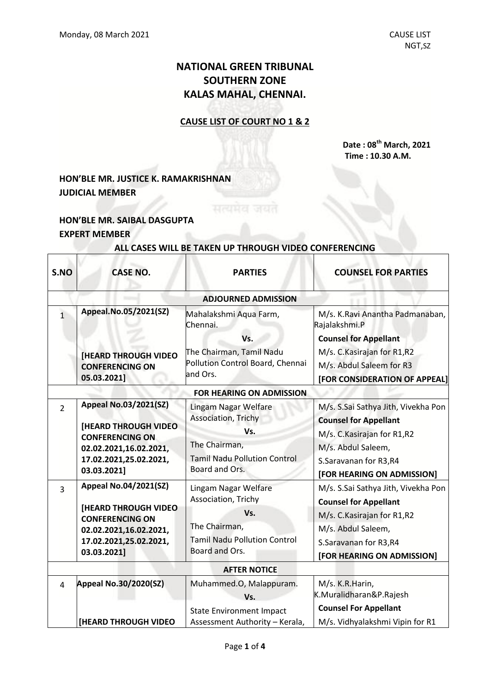# **NATIONAL GREEN TRIBUNAL SOUTHERN ZONE KALAS MAHAL, CHENNAI.**

### **CAUSE LIST OF COURT NO 1 & 2**

**Date : 08 th March, 2021 Time : 10.30 A.M.**

## **HON'BLE MR. JUSTICE K. RAMAKRISHNAN JUDICIAL MEMBER**

## **HON'BLE MR. SAIBAL DASGUPTA EXPERT MEMBER**

| S.NO                       | <b>CASE NO.</b>                                                                                                                           | <b>PARTIES</b>                                                                                                               | <b>COUNSEL FOR PARTIES</b>                                                                                                                        |  |  |  |
|----------------------------|-------------------------------------------------------------------------------------------------------------------------------------------|------------------------------------------------------------------------------------------------------------------------------|---------------------------------------------------------------------------------------------------------------------------------------------------|--|--|--|
| <b>ADJOURNED ADMISSION</b> |                                                                                                                                           |                                                                                                                              |                                                                                                                                                   |  |  |  |
| $\mathbf{1}$               | Appeal.No.05/2021(SZ)                                                                                                                     | Mahalakshmi Aqua Farm,<br>Chennai.<br>Vs.                                                                                    | M/s. K.Ravi Anantha Padmanaban,<br>Rajalakshmi.P<br><b>Counsel for Appellant</b>                                                                  |  |  |  |
|                            | <b>[HEARD THROUGH VIDEO</b><br><b>CONFERENCING ON</b><br>05.03.2021]                                                                      | The Chairman, Tamil Nadu<br>Pollution Control Board, Chennai<br>and Ors.                                                     | M/s. C. Kasirajan for R1,R2<br>M/s. Abdul Saleem for R3<br>[FOR CONSIDERATION OF APPEAL]                                                          |  |  |  |
|                            | <b>FOR HEARING ON ADMISSION</b>                                                                                                           |                                                                                                                              |                                                                                                                                                   |  |  |  |
| $\overline{2}$             | <b>Appeal No.03/2021(SZ)</b><br><b>[HEARD THROUGH VIDEO</b><br><b>CONFERENCING ON</b><br>02.02.2021,16.02.2021,                           | Lingam Nagar Welfare<br>Association, Trichy<br>Vs.<br>The Chairman,                                                          | M/s. S.Sai Sathya Jith, Vivekha Pon<br><b>Counsel for Appellant</b><br>M/s. C. Kasirajan for R1,R2<br>M/s. Abdul Saleem,                          |  |  |  |
|                            | 17.02.2021,25.02.2021,<br>03.03.2021]                                                                                                     | <b>Tamil Nadu Pollution Control</b><br>Board and Ors.                                                                        | S.Saravanan for R3,R4<br>[FOR HEARING ON ADMISSION]                                                                                               |  |  |  |
| 3                          | <b>Appeal No.04/2021(SZ)</b><br><b>[HEARD THROUGH VIDEO</b><br><b>CONFERENCING ON</b><br>02.02.2021,16.02.2021,<br>17.02.2021,25.02.2021, | Lingam Nagar Welfare<br>Association, Trichy<br>Vs.<br>The Chairman,<br><b>Tamil Nadu Pollution Control</b><br>Board and Ors. | M/s. S.Sai Sathya Jith, Vivekha Pon<br><b>Counsel for Appellant</b><br>M/s. C. Kasirajan for R1,R2<br>M/s. Abdul Saleem,<br>S.Saravanan for R3,R4 |  |  |  |
|                            | 03.03.2021]                                                                                                                               |                                                                                                                              | [FOR HEARING ON ADMISSION]                                                                                                                        |  |  |  |
| <b>AFTER NOTICE</b>        |                                                                                                                                           |                                                                                                                              |                                                                                                                                                   |  |  |  |
| 4                          | Appeal No.30/2020(SZ)                                                                                                                     | Muhammed.O, Malappuram.<br>Vs.                                                                                               | M/s. K.R. Harin,<br>K.Muralidharan&P.Rajesh                                                                                                       |  |  |  |
|                            | <b>[HEARD THROUGH VIDEO</b>                                                                                                               | <b>State Environment Impact</b><br>Assessment Authority - Kerala,                                                            | <b>Counsel For Appellant</b><br>M/s. Vidhyalakshmi Vipin for R1                                                                                   |  |  |  |

#### **ALL CASES WILL BE TAKEN UP THROUGH VIDEO CONFERENCING**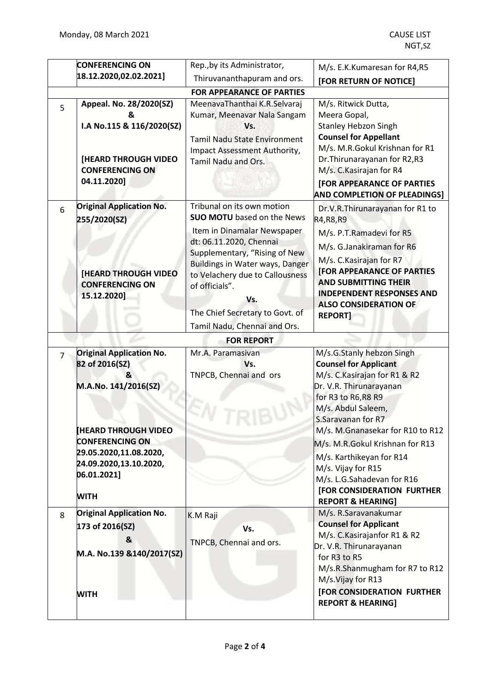|                                  | <b>CONFERENCING ON</b>                                                         | Rep., by its Administrator,                                                                                                                                                     | M/s. E.K.Kumaresan for R4,R5                                                                                                                                                              |  |  |  |
|----------------------------------|--------------------------------------------------------------------------------|---------------------------------------------------------------------------------------------------------------------------------------------------------------------------------|-------------------------------------------------------------------------------------------------------------------------------------------------------------------------------------------|--|--|--|
|                                  | 18.12.2020,02.02.2021]                                                         | Thiruvananthapuram and ors.                                                                                                                                                     | [FOR RETURN OF NOTICE]                                                                                                                                                                    |  |  |  |
| <b>FOR APPEARANCE OF PARTIES</b> |                                                                                |                                                                                                                                                                                 |                                                                                                                                                                                           |  |  |  |
| 5                                | Appeal. No. 28/2020(SZ)<br>&<br>I.A No.115 & 116/2020(SZ)                      | MeenavaThanthai K.R.Selvaraj<br>Kumar, Meenavar Nala Sangam<br>Vs.<br><b>Tamil Nadu State Environment</b>                                                                       | M/s. Ritwick Dutta,<br>Meera Gopal,<br><b>Stanley Hebzon Singh</b><br><b>Counsel for Appellant</b>                                                                                        |  |  |  |
|                                  | [HEARD THROUGH VIDEO<br><b>CONFERENCING ON</b><br>04.11.2020]                  | Impact Assessment Authority,<br>Tamil Nadu and Ors.                                                                                                                             | M/s. M.R.Gokul Krishnan for R1<br>Dr. Thirunarayanan for R2,R3<br>M/s. C. Kasirajan for R4<br><b>[FOR APPEARANCE OF PARTIES</b><br><b>AND COMPLETION OF PLEADINGS]</b>                    |  |  |  |
| 6                                | <b>Original Application No.</b><br>255/2020(SZ)                                | Tribunal on its own motion<br><b>SUO MOTU</b> based on the News                                                                                                                 | Dr.V.R.Thirunarayanan for R1 to<br>R4, R8, R9                                                                                                                                             |  |  |  |
|                                  | <b>[HEARD THROUGH VIDEO</b><br><b>CONFERENCING ON</b>                          | Item in Dinamalar Newspaper<br>dt: 06.11.2020, Chennai<br>Supplementary, "Rising of New<br>Buildings in Water ways, Danger<br>to Velachery due to Callousness<br>of officials". | M/s. P.T.Ramadevi for R5<br>M/s. G.Janakiraman for R6<br>M/s. C. Kasirajan for R7<br><b>[FOR APPEARANCE OF PARTIES</b><br><b>AND SUBMITTING THEIR</b><br><b>INDEPENDENT RESPONSES AND</b> |  |  |  |
|                                  | 15.12.2020]                                                                    | Vs.<br>The Chief Secretary to Govt. of<br>Tamil Nadu, Chennai and Ors.                                                                                                          | <b>ALSO CONSIDERATION OF</b><br><b>REPORT]</b>                                                                                                                                            |  |  |  |
|                                  |                                                                                | <b>FOR REPORT</b>                                                                                                                                                               |                                                                                                                                                                                           |  |  |  |
| $\overline{7}$                   | <b>Original Application No.</b><br>82 of 2016(SZ)                              | Mr.A. Paramasivan<br>Vs.                                                                                                                                                        | M/s.G.Stanly hebzon Singh<br><b>Counsel for Applicant</b>                                                                                                                                 |  |  |  |
|                                  | &<br>M.A.No. 141/2016(SZ)                                                      | TNPCB, Chennai and ors                                                                                                                                                          | M/s. C. Kasirajan for R1 & R2<br>Dr. V.R. Thirunarayanan<br>for R3 to R6, R8 R9<br>M/s. Abdul Saleem,                                                                                     |  |  |  |
|                                  | <b>HEARD THROUGH VIDEO</b><br><b>CONFERENCING ON</b><br>29.05.2020,11.08.2020, |                                                                                                                                                                                 | S.Saravanan for R7<br>M/s. M.Gnanasekar for R10 to R12<br>M/s. M.R.Gokul Krishnan for R13<br>M/s. Karthikeyan for R14                                                                     |  |  |  |
|                                  | 24.09.2020,13.10.2020,<br>06.01.2021]<br><b>WITH</b>                           |                                                                                                                                                                                 | M/s. Vijay for R15<br>M/s. L.G.Sahadevan for R16<br>[FOR CONSIDERATION FURTHER                                                                                                            |  |  |  |
|                                  | <b>Original Application No.</b>                                                |                                                                                                                                                                                 | <b>REPORT &amp; HEARING]</b><br>M/s. R.Saravanakumar                                                                                                                                      |  |  |  |
| 8                                | 173 of 2016(SZ)                                                                | K.M Raji                                                                                                                                                                        | <b>Counsel for Applicant</b>                                                                                                                                                              |  |  |  |
|                                  | &                                                                              | Vs.                                                                                                                                                                             | M/s. C. Kasirajanfor R1 & R2                                                                                                                                                              |  |  |  |
|                                  | M.A. No.139 &140/2017(SZ)                                                      | TNPCB, Chennai and ors.                                                                                                                                                         | Dr. V.R. Thirunarayanan<br>for R3 to R5<br>M/s.R.Shanmugham for R7 to R12<br>M/s.Vijay for R13                                                                                            |  |  |  |
|                                  | <b>WITH</b>                                                                    |                                                                                                                                                                                 | <b>[FOR CONSIDERATION FURTHER</b><br><b>REPORT &amp; HEARING]</b>                                                                                                                         |  |  |  |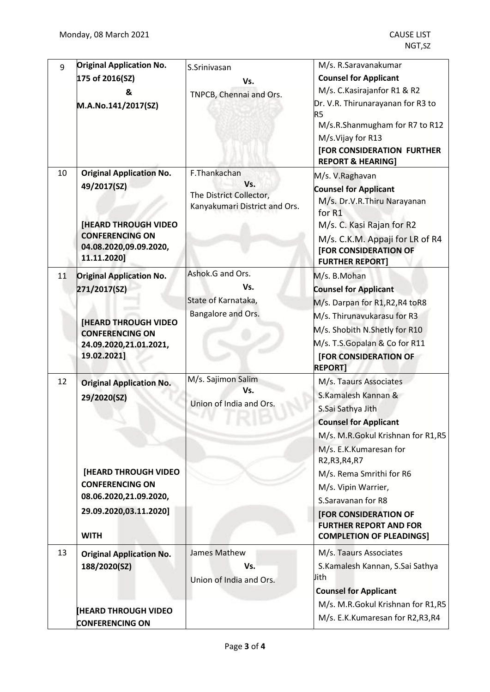| 9  | <b>Original Application No.</b>                       | S.Srinivasan                                                    | M/s. R.Saravanakumar                                                                             |
|----|-------------------------------------------------------|-----------------------------------------------------------------|--------------------------------------------------------------------------------------------------|
|    | 175 of 2016(SZ)                                       | Vs.                                                             | <b>Counsel for Applicant</b>                                                                     |
|    | &                                                     | TNPCB, Chennai and Ors.                                         | M/s. C. Kasirajanfor R1 & R2                                                                     |
|    | M.A.No.141/2017(SZ)                                   |                                                                 | Dr. V.R. Thirunarayanan for R3 to<br>R <sub>5</sub>                                              |
|    |                                                       |                                                                 | M/s.R.Shanmugham for R7 to R12                                                                   |
|    |                                                       |                                                                 | M/s.Vijay for R13                                                                                |
|    |                                                       |                                                                 | [FOR CONSIDERATION FURTHER<br><b>REPORT &amp; HEARING]</b>                                       |
| 10 | <b>Original Application No.</b>                       | F.Thankachan                                                    | M/s. V.Raghavan                                                                                  |
|    | 49/2017(SZ)                                           | Vs.<br>The District Collector,<br>Kanyakumari District and Ors. | <b>Counsel for Applicant</b><br>M/s. Dr.V.R.Thiru Narayanan<br>for R1                            |
|    | <b>[HEARD THROUGH VIDEO</b><br><b>CONFERENCING ON</b> |                                                                 | M/s. C. Kasi Rajan for R2                                                                        |
|    | 04.08.2020,09.09.2020,<br>11.11.2020]                 |                                                                 | M/s. C.K.M. Appaji for LR of R4<br><b>[FOR CONSIDERATION OF</b><br><b>FURTHER REPORT]</b>        |
| 11 | <b>Original Application No.</b>                       | Ashok.G and Ors.                                                | M/s. B.Mohan                                                                                     |
|    | 271/2017(SZ)                                          | Vs.                                                             | <b>Counsel for Applicant</b>                                                                     |
|    |                                                       | State of Karnataka,                                             | M/s. Darpan for R1, R2, R4 to R8                                                                 |
|    |                                                       | Bangalore and Ors.                                              | M/s. Thirunavukarasu for R3                                                                      |
|    | <b>[HEARD THROUGH VIDEO</b><br><b>CONFERENCING ON</b> |                                                                 | M/s. Shobith N.Shetly for R10                                                                    |
|    | 24.09.2020,21.01.2021,                                |                                                                 | M/s. T.S.Gopalan & Co for R11                                                                    |
|    | 19.02.2021]                                           |                                                                 | <b>[FOR CONSIDERATION OF</b><br><b>REPORT]</b>                                                   |
| 12 | <b>Original Application No.</b>                       | M/s. Sajimon Salim                                              | M/s. Taaurs Associates                                                                           |
|    | 29/2020(SZ)                                           | Vs.                                                             | S.Kamalesh Kannan &                                                                              |
|    |                                                       | Union of India and Ors.                                         | S.Sai Sathya Jith                                                                                |
|    |                                                       |                                                                 | <b>Counsel for Applicant</b>                                                                     |
|    |                                                       |                                                                 | M/s. M.R.Gokul Krishnan for R1,R5                                                                |
|    |                                                       |                                                                 | M/s. E.K.Kumaresan for<br>R2, R3, R4, R7                                                         |
|    | [HEARD THROUGH VIDEO                                  |                                                                 | M/s. Rema Smrithi for R6                                                                         |
|    | <b>CONFERENCING ON</b>                                |                                                                 | M/s. Vipin Warrier,                                                                              |
|    | 08.06.2020,21.09.2020,                                |                                                                 | S.Saravanan for R8                                                                               |
|    | 29.09.2020,03.11.2020]<br><b>WITH</b>                 |                                                                 | <b>[FOR CONSIDERATION OF</b><br><b>FURTHER REPORT AND FOR</b><br><b>COMPLETION OF PLEADINGS]</b> |
| 13 | <b>Original Application No.</b>                       | James Mathew                                                    | M/s. Taaurs Associates                                                                           |
|    | 188/2020(SZ)                                          | Vs.                                                             | S.Kamalesh Kannan, S.Sai Sathya                                                                  |
|    |                                                       | Union of India and Ors.                                         | Jith                                                                                             |
|    |                                                       |                                                                 | <b>Counsel for Applicant</b>                                                                     |
|    | <b>HEARD THROUGH VIDEO</b>                            |                                                                 | M/s. M.R.Gokul Krishnan for R1,R5                                                                |
|    | <b>CONFERENCING ON</b>                                |                                                                 | M/s. E.K.Kumaresan for R2,R3,R4                                                                  |